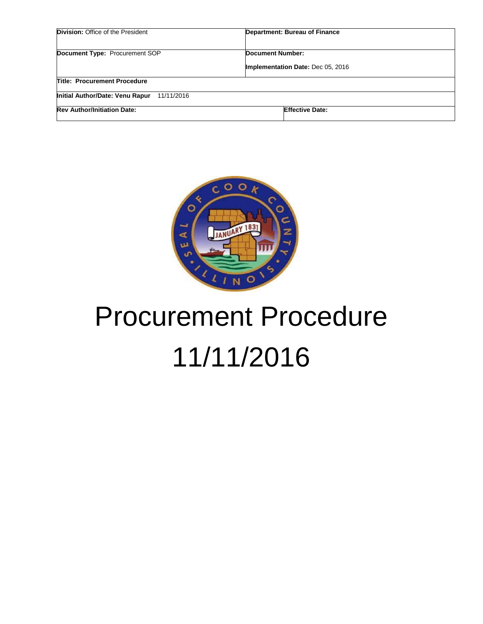| Division: Office of the President             | Department: Bureau of Finance     |  |
|-----------------------------------------------|-----------------------------------|--|
| Document Type: Procurement SOP                | <b>Document Number:</b>           |  |
|                                               | Implementation Date: Dec 05, 2016 |  |
| <b>Title: Procurement Procedure</b>           |                                   |  |
| Initial Author/Date: Venu Rapur<br>11/11/2016 |                                   |  |
| <b>Rev Author/Initiation Date:</b>            | <b>Effective Date:</b>            |  |



# Procurement Procedure 11/11/2016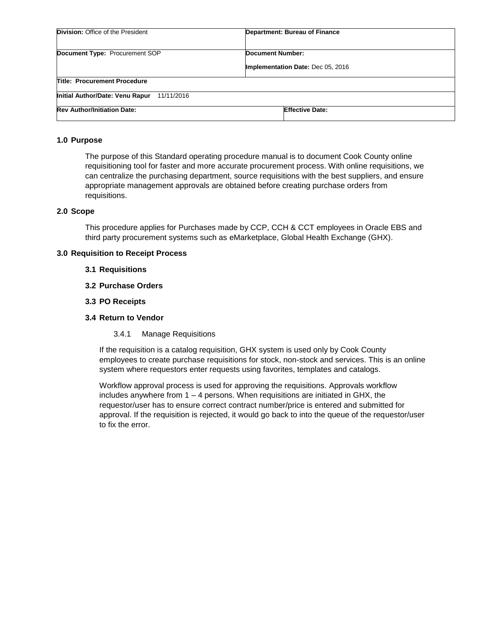| <b>Division:</b> Office of the President      | Department: Bureau of Finance     |  |
|-----------------------------------------------|-----------------------------------|--|
| <b>Document Type: Procurement SOP</b>         | Document Number:                  |  |
|                                               | Implementation Date: Dec 05, 2016 |  |
| <b>Title: Procurement Procedure</b>           |                                   |  |
| Initial Author/Date: Venu Rapur<br>11/11/2016 |                                   |  |
| <b>Rev Author/Initiation Date:</b>            | <b>Effective Date:</b>            |  |

#### **1.0 Purpose**

The purpose of this Standard operating procedure manual is to document Cook County online requisitioning tool for faster and more accurate procurement process. With online requisitions, we can centralize the purchasing department, source requisitions with the best suppliers, and ensure appropriate management approvals are obtained before creating purchase orders from requisitions.

#### **2.0 Scope**

This procedure applies for Purchases made by CCP, CCH & CCT employees in Oracle EBS and third party procurement systems such as eMarketplace, Global Health Exchange (GHX).

#### **3.0 Requisition to Receipt Process**

- **3.1 Requisitions**
- **3.2 Purchase Orders**
- **3.3 PO Receipts**

#### **3.4 Return to Vendor**

3.4.1 Manage Requisitions

If the requisition is a catalog requisition, GHX system is used only by Cook County employees to create purchase requisitions for stock, non-stock and services. This is an online system where requestors enter requests using favorites, templates and catalogs.

Workflow approval process is used for approving the requisitions. Approvals workflow includes anywhere from  $1 - 4$  persons. When requisitions are initiated in GHX, the requestor/user has to ensure correct contract number/price is entered and submitted for approval. If the requisition is rejected, it would go back to into the queue of the requestor/user to fix the error.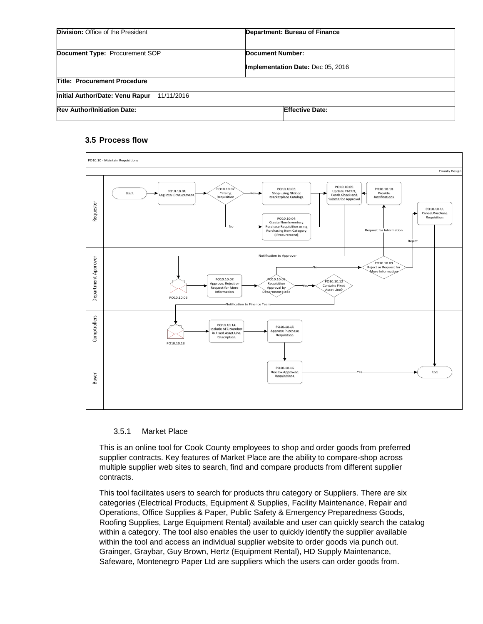| <b>Division:</b> Office of the President      | Department: Bureau of Finance                         |
|-----------------------------------------------|-------------------------------------------------------|
| Document Type: Procurement SOP                | Document Number:<br>Implementation Date: Dec 05, 2016 |
| <b>Title: Procurement Procedure</b>           |                                                       |
| Initial Author/Date: Venu Rapur<br>11/11/2016 |                                                       |
| <b>Rev Author/Initiation Date:</b>            | <b>Effective Date:</b>                                |

## **3.5 Process flow**



#### 3.5.1 Market Place

This is an online tool for Cook County employees to shop and order goods from preferred supplier contracts. Key features of Market Place are the ability to compare-shop across multiple supplier web sites to search, find and compare products from different supplier contracts.

This tool facilitates users to search for products thru category or Suppliers. There are six categories (Electrical Products, Equipment & Supplies, Facility Maintenance, Repair and Operations, Office Supplies & Paper, Public Safety & Emergency Preparedness Goods, Roofing Supplies, Large Equipment Rental) available and user can quickly search the catalog within a category. The tool also enables the user to quickly identify the supplier available within the tool and access an individual supplier website to order goods via punch out. Grainger, Graybar, Guy Brown, Hertz (Equipment Rental), HD Supply Maintenance, Safeware, Montenegro Paper Ltd are suppliers which the users can order goods from.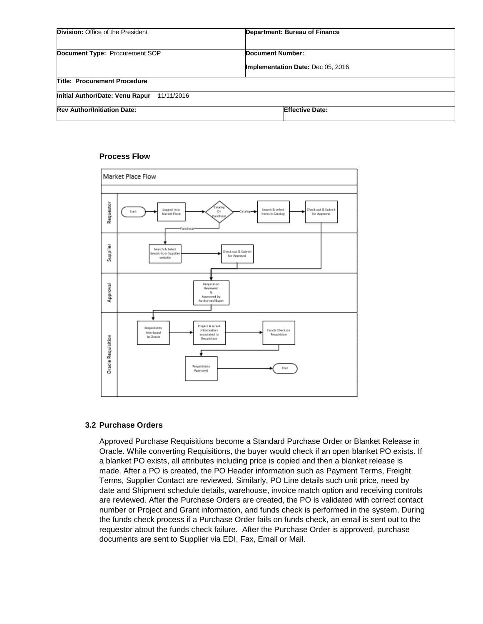| Division: Office of the President             | Department: Bureau of Finance     |  |
|-----------------------------------------------|-----------------------------------|--|
| <b>Document Type: Procurement SOP</b>         | <b>Document Number:</b>           |  |
|                                               | Implementation Date: Dec 05, 2016 |  |
| <b>Title: Procurement Procedure</b>           |                                   |  |
| Initial Author/Date: Venu Rapur<br>11/11/2016 |                                   |  |
| <b>Rev Author/Initiation Date:</b>            | <b>Effective Date:</b>            |  |

#### **Process Flow**



## **3.2 Purchase Orders**

Approved Purchase Requisitions become a Standard Purchase Order or Blanket Release in Oracle. While converting Requisitions, the buyer would check if an open blanket PO exists. If a blanket PO exists, all attributes including price is copied and then a blanket release is made. After a PO is created, the PO Header information such as Payment Terms, Freight Terms, Supplier Contact are reviewed. Similarly, PO Line details such unit price, need by date and Shipment schedule details, warehouse, invoice match option and receiving controls are reviewed. After the Purchase Orders are created, the PO is validated with correct contact number or Project and Grant information, and funds check is performed in the system. During the funds check process if a Purchase Order fails on funds check, an email is sent out to the requestor about the funds check failure. After the Purchase Order is approved, purchase documents are sent to Supplier via EDI, Fax, Email or Mail.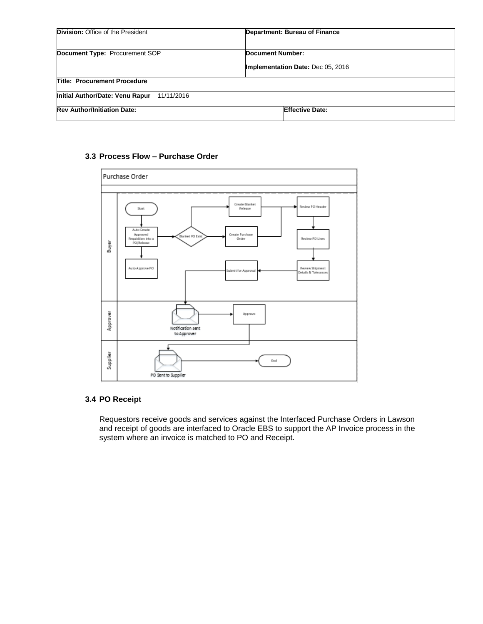| <b>Division:</b> Office of the President      | Department: Bureau of Finance     |  |
|-----------------------------------------------|-----------------------------------|--|
| Document Type: Procurement SOP                | <b>Document Number:</b>           |  |
|                                               | Implementation Date: Dec 05, 2016 |  |
| <b>Title: Procurement Procedure</b>           |                                   |  |
| Initial Author/Date: Venu Rapur<br>11/11/2016 |                                   |  |
| <b>Rev Author/Initiation Date:</b>            | <b>Effective Date:</b>            |  |

## **3.3 Process Flow – Purchase Order**



# **3.4 PO Receipt**

Requestors receive goods and services against the Interfaced Purchase Orders in Lawson and receipt of goods are interfaced to Oracle EBS to support the AP Invoice process in the system where an invoice is matched to PO and Receipt.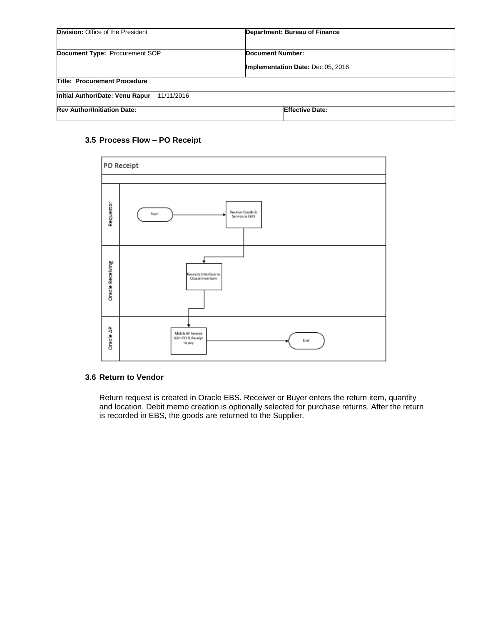| <b>Division:</b> Office of the President      | Department: Bureau of Finance     |  |
|-----------------------------------------------|-----------------------------------|--|
| Document Type: Procurement SOP                | <b>Document Number:</b>           |  |
|                                               | Implementation Date: Dec 05, 2016 |  |
| <b>Title: Procurement Procedure</b>           |                                   |  |
| Initial Author/Date: Venu Rapur<br>11/11/2016 |                                   |  |
| <b>Rev Author/Initiation Date:</b>            | <b>Effective Date:</b>            |  |

# **3.5 Process Flow – PO Receipt**



## **3.6 Return to Vendor**

Return request is created in Oracle EBS. Receiver or Buyer enters the return item, quantity and location. Debit memo creation is optionally selected for purchase returns. After the return is recorded in EBS, the goods are returned to the Supplier.